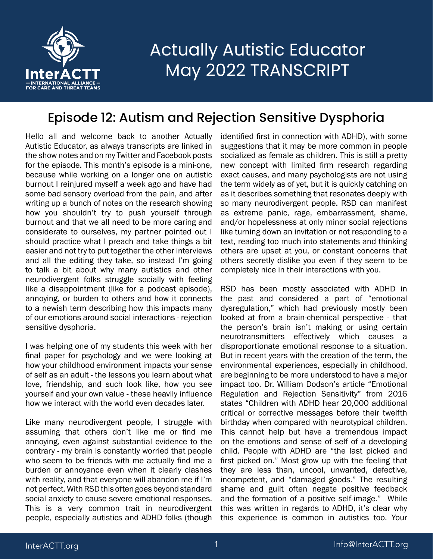

#### Episode 12: Autism and Rejection Sensitive Dysphoria

Hello all and welcome back to another Actually Autistic Educator, as always transcripts are linked in the show notes and on my Twitter and Facebook posts for the episode. This month's episode is a mini-one, because while working on a longer one on autistic burnout I reinjured myself a week ago and have had some bad sensory overload from the pain, and after writing up a bunch of notes on the research showing how you shouldn't try to push yourself through burnout and that we all need to be more caring and considerate to ourselves, my partner pointed out I should practice what I preach and take things a bit easier and not try to put together the other interviews and all the editing they take, so instead I'm going to talk a bit about why many autistics and other neurodivergent folks struggle socially with feeling like a disappointment (like for a podcast episode), annoying, or burden to others and how it connects to a newish term describing how this impacts many of our emotions around social interactions - rejection sensitive dysphoria.

I was helping one of my students this week with her final paper for psychology and we were looking at how your childhood environment impacts your sense of self as an adult - the lessons you learn about what love, friendship, and such look like, how you see yourself and your own value - these heavily influence how we interact with the world even decades later.

Like many neurodivergent people, I struggle with assuming that others don't like me or find me annoying, even against substantial evidence to the contrary - my brain is constantly worried that people who seem to be friends with me actually find me a burden or annoyance even when it clearly clashes with reality, and that everyone will abandon me if I'm not perfect. With RSD this often goes beyond standard social anxiety to cause severe emotional responses. This is a very common trait in neurodivergent people, especially autistics and ADHD folks (though

identified first in connection with ADHD), with some suggestions that it may be more common in people socialized as female as children. This is still a pretty new concept with limited firm research regarding exact causes, and many psychologists are not using the term widely as of yet, but it is quickly catching on as it describes something that resonates deeply with so many neurodivergent people. RSD can manifest as extreme panic, rage, embarrassment, shame, and/or hopelessness at only minor social rejections like turning down an invitation or not responding to a text, reading too much into statements and thinking others are upset at you, or constant concerns that others secretly dislike you even if they seem to be completely nice in their interactions with you.

RSD has been mostly associated with ADHD in the past and considered a part of "emotional dysregulation," which had previously mostly been looked at from a brain-chemical perspective - that the person's brain isn't making or using certain neurotransmitters effectively which causes a disproportionate emotional response to a situation. But in recent years with the creation of the term, the environmental experiences, especially in childhood, are beginning to be more understood to have a major impact too. Dr. William Dodson's article "Emotional Regulation and Rejection Sensitivity" from 2016 states "Children with ADHD hear 20,000 additional critical or corrective messages before their twelfth birthday when compared with neurotypical children. This cannot help but have a tremendous impact on the emotions and sense of self of a developing child. People with ADHD are "the last picked and first picked on." Most grow up with the feeling that they are less than, uncool, unwanted, defective, incompetent, and "damaged goods." The resulting shame and guilt often negate positive feedback and the formation of a positive self-image." While this was written in regards to ADHD, it's clear why this experience is common in autistics too. Your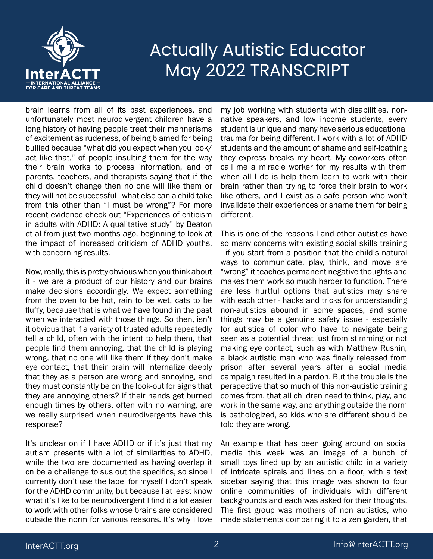

brain learns from all of its past experiences, and unfortunately most neurodivergent children have a long history of having people treat their mannerisms of excitement as rudeness, of being blamed for being bullied because "what did you expect when you look/ act like that," of people insulting them for the way their brain works to process information, and of parents, teachers, and therapists saying that if the child doesn't change then no one will like them or they will not be successful - what else can a child take from this other than "I must be wrong"? For more recent evidence check out "Experiences of criticism in adults with ADHD: A qualitative study" by Beaton et al from just two months ago, beginning to look at the impact of increased criticism of ADHD youths, with concerning results.

Now, really, this is pretty obvious when you think about it - we are a product of our history and our brains make decisions accordingly. We expect something from the oven to be hot, rain to be wet, cats to be fluffy, because that is what we have found in the past when we interacted with those things. So then, isn't it obvious that if a variety of trusted adults repeatedly tell a child, often with the intent to help them, that people find them annoying, that the child is playing wrong, that no one will like them if they don't make eye contact, that their brain will internalize deeply that they as a person are wrong and annoying, and they must constantly be on the look-out for signs that they are annoying others? If their hands get burned enough times by others, often with no warning, are we really surprised when neurodivergents have this response?

It's unclear on if I have ADHD or if it's just that my autism presents with a lot of similarities to ADHD, while the two are documented as having overlap it cn be a challenge to sus out the specifics, so since I currently don't use the label for myself I don't speak for the ADHD community, but because I at least know what it's like to be neurodivergent I find it a lot easier to work with other folks whose brains are considered outside the norm for various reasons. It's why I love

my job working with students with disabilities, nonnative speakers, and low income students, every student is unique and many have serious educational trauma for being different. I work with a lot of ADHD students and the amount of shame and self-loathing they express breaks my heart. My coworkers often call me a miracle worker for my results with them when all I do is help them learn to work with their brain rather than trying to force their brain to work like others, and I exist as a safe person who won't invalidate their experiences or shame them for being different.

This is one of the reasons I and other autistics have so many concerns with existing social skills training - if you start from a position that the child's natural ways to communicate, play, think, and move are "wrong" it teaches permanent negative thoughts and makes them work so much harder to function. There are less hurtful options that autistics may share with each other - hacks and tricks for understanding non-autistics abound in some spaces, and some things may be a genuine safety issue - especially for autistics of color who have to navigate being seen as a potential threat just from stimming or not making eye contact, such as with Matthew Rushin, a black autistic man who was finally released from prison after several years after a social media campaign resulted in a pardon. But the trouble is the perspective that so much of this non-autistic training comes from, that all children need to think, play, and work in the same way, and anything outside the norm is pathologized, so kids who are different should be told they are wrong.

An example that has been going around on social media this week was an image of a bunch of small toys lined up by an autistic child in a variety of intricate spirals and lines on a floor, with a text sidebar saying that this image was shown to four online communities of individuals with different backgrounds and each was asked for their thoughts. The first group was mothers of non autistics, who made statements comparing it to a zen garden, that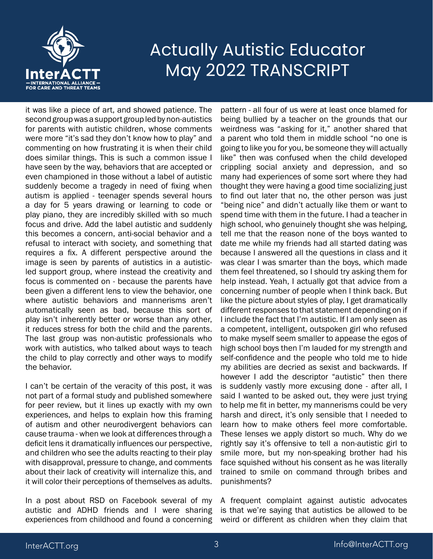

it was like a piece of art, and showed patience. The second group was a support group led by non-autistics for parents with autistic children, whose comments were more "it's sad they don't know how to play" and commenting on how frustrating it is when their child does similar things. This is such a common issue I have seen by the way, behaviors that are accepted or even championed in those without a label of autistic suddenly become a tragedy in need of fixing when autism is applied - teenager spends several hours a day for 5 years drawing or learning to code or play piano, they are incredibly skilled with so much focus and drive. Add the label autistic and suddenly this becomes a concern, anti-social behavior and a refusal to interact with society, and something that requires a fix. A different perspective around the image is seen by parents of autistics in a autisticled support group, where instead the creativity and focus is commented on - because the parents have been given a different lens to view the behavior, one where autistic behaviors and mannerisms aren't automatically seen as bad, because this sort of play isn't inherently better or worse than any other, it reduces stress for both the child and the parents. The last group was non-autistic professionals who work with autistics, who talked about ways to teach the child to play correctly and other ways to modify the behavior.

I can't be certain of the veracity of this post, it was not part of a formal study and published somewhere for peer review, but it lines up exactly with my own experiences, and helps to explain how this framing of autism and other neurodivergent behaviors can cause trauma - when we look at differences through a deficit lens it dramatically influences our perspective, and children who see the adults reacting to their play with disapproval, pressure to change, and comments about their lack of creativity will internalize this, and it will color their perceptions of themselves as adults.

In a post about RSD on Facebook several of my autistic and ADHD friends and I were sharing experiences from childhood and found a concerning

pattern - all four of us were at least once blamed for being bullied by a teacher on the grounds that our weirdness was "asking for it," another shared that a parent who told them in middle school "no one is going to like you for you, be someone they will actually like" then was confused when the child developed crippling social anxiety and depression, and so many had experiences of some sort where they had thought they were having a good time socializing just to find out later that no, the other person was just "being nice" and didn't actually like them or want to spend time with them in the future. I had a teacher in high school, who genuinely thought she was helping, tell me that the reason none of the boys wanted to date me while my friends had all started dating was because I answered all the questions in class and it was clear I was smarter than the boys, which made them feel threatened, so I should try asking them for help instead. Yeah, I actually got that advice from a concerning number of people when I think back. But like the picture about styles of play, I get dramatically different responses to that statement depending on if I include the fact that I'm autistic. If I am only seen as a competent, intelligent, outspoken girl who refused to make myself seem smaller to appease the egos of high school boys then I'm lauded for my strength and self-confidence and the people who told me to hide my abilities are decried as sexist and backwards. If however I add the descriptor "autistic" then there is suddenly vastly more excusing done - after all, I said I wanted to be asked out, they were just trying to help me fit in better, my mannerisms could be very harsh and direct, it's only sensible that I needed to learn how to make others feel more comfortable. These lenses we apply distort so much. Why do we rightly say it's offensive to tell a non-autistic girl to smile more, but my non-speaking brother had his face squished without his consent as he was literally trained to smile on command through bribes and punishments?

A frequent complaint against autistic advocates is that we're saying that autistics be allowed to be weird or different as children when they claim that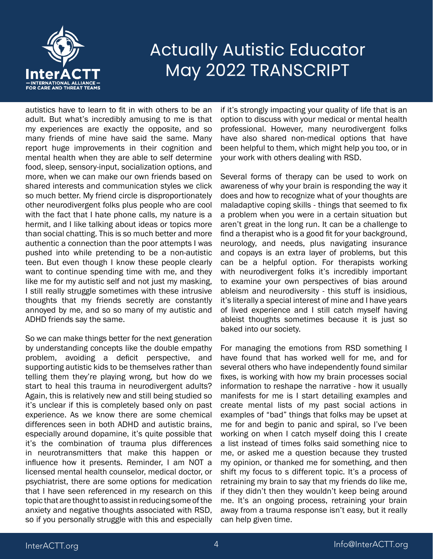

autistics have to learn to fit in with others to be an adult. But what's incredibly amusing to me is that my experiences are exactly the opposite, and so many friends of mine have said the same. Many report huge improvements in their cognition and mental health when they are able to self determine food, sleep, sensory-input, socialization options, and more, when we can make our own friends based on shared interests and communication styles we click so much better. My friend circle is disproportionately other neurodivergent folks plus people who are cool with the fact that I hate phone calls, my nature is a hermit, and I like talking about ideas or topics more than social chatting. This is so much better and more authentic a connection than the poor attempts I was pushed into while pretending to be a non-autistic teen. But even though I know these people clearly want to continue spending time with me, and they like me for my autistic self and not just my masking, I still really struggle sometimes with these intrusive thoughts that my friends secretly are constantly annoyed by me, and so so many of my autistic and ADHD friends say the same.

So we can make things better for the next generation by understanding concepts like the double empathy problem, avoiding a deficit perspective, and supporting autistic kids to be themselves rather than telling them they're playing wrong, but how do we start to heal this trauma in neurodivergent adults? Again, this is relatively new and still being studied so it's unclear if this is completely based only on past experience. As we know there are some chemical differences seen in both ADHD and autistic brains, especially around dopamine, it's quite possible that it's the combination of trauma plus differences in neurotransmitters that make this happen or influence how it presents. Reminder, I am NOT a licensed mental health counselor, medical doctor, or psychiatrist, there are some options for medication that I have seen referenced in my research on this topic that are thought to assist in reducing some of the anxiety and negative thoughts associated with RSD, so if you personally struggle with this and especially

if it's strongly impacting your quality of life that is an option to discuss with your medical or mental health professional. However, many neurodivergent folks have also shared non-medical options that have been helpful to them, which might help you too, or in your work with others dealing with RSD.

Several forms of therapy can be used to work on awareness of why your brain is responding the way it does and how to recognize what of your thoughts are maladaptive coping skills - things that seemed to fix a problem when you were in a certain situation but aren't great in the long run. It can be a challenge to find a therapist who is a good fit for your background, neurology, and needs, plus navigating insurance and copays is an extra layer of problems, but this can be a helpful option. For therapists working with neurodivergent folks it's incredibly important to examine your own perspectives of bias around ableism and neurodiversity - this stuff is insidious, it's literally a special interest of mine and I have years of lived experience and I still catch myself having ableist thoughts sometimes because it is just so baked into our society.

For managing the emotions from RSD something I have found that has worked well for me, and for several others who have independently found similar fixes, is working with how my brain processes social information to reshape the narrative - how it usually manifests for me is I start detailing examples and create mental lists of my past social actions in examples of "bad" things that folks may be upset at me for and begin to panic and spiral, so I've been working on when I catch myself doing this I create a list instead of times folks said something nice to me, or asked me a question because they trusted my opinion, or thanked me for something, and then shift my focus to s different topic. It's a process of retraining my brain to say that my friends do like me, if they didn't then they wouldn't keep being around me. It's an ongoing process, retraining your brain away from a trauma response isn't easy, but it really can help given time.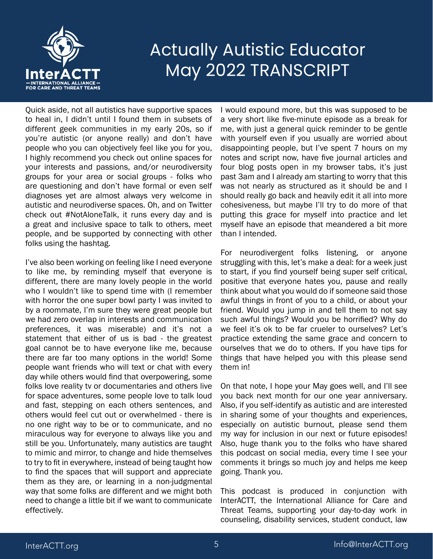

Quick aside, not all autistics have supportive spaces to heal in, I didn't until I found them in subsets of different geek communities in my early 20s, so if you're autistic (or anyone really) and don't have people who you can objectively feel like you for you, I highly recommend you check out online spaces for your interests and passions, and/or neurodiversity groups for your area or social groups - folks who are questioning and don't have formal or even self diagnoses yet are almost always very welcome in autistic and neurodiverse spaces. Oh, and on Twitter check out #NotAloneTalk, it runs every day and is a great and inclusive space to talk to others, meet people, and be supported by connecting with other folks using the hashtag.

I've also been working on feeling like I need everyone to like me, by reminding myself that everyone is different, there are many lovely people in the world who I wouldn't like to spend time with (I remember with horror the one super bowl party I was invited to by a roommate, I'm sure they were great people but we had zero overlap in interests and communication preferences, it was miserable) and it's not a statement that either of us is bad - the greatest goal cannot be to have everyone like me, because there are far too many options in the world! Some people want friends who will text or chat with every day while others would find that overpowering, some folks love reality tv or documentaries and others live for space adventures, some people love to talk loud and fast, stepping on each others sentences, and others would feel cut out or overwhelmed - there is no one right way to be or to communicate, and no miraculous way for everyone to always like you and still be you. Unfortunately, many autistics are taught to mimic and mirror, to change and hide themselves to try to fit in everywhere, instead of being taught how to find the spaces that will support and appreciate them as they are, or learning in a non-judgmental way that some folks are different and we might both need to change a little bit if we want to communicate effectively.

I would expound more, but this was supposed to be a very short like five-minute episode as a break for me, with just a general quick reminder to be gentle with yourself even if you usually are worried about disappointing people, but I've spent 7 hours on my notes and script now, have five journal articles and four blog posts open in my browser tabs, it's just past 3am and I already am starting to worry that this was not nearly as structured as it should be and I should really go back and heavily edit it all into more cohesiveness, but maybe I'll try to do more of that putting this grace for myself into practice and let myself have an episode that meandered a bit more than I intended.

For neurodivergent folks listening, or anyone struggling with this, let's make a deal: for a week just to start, if you find yourself being super self critical, positive that everyone hates you, pause and really think about what you would do if someone said those awful things in front of you to a child, or about your friend. Would you jump in and tell them to not say such awful things? Would you be horrified? Why do we feel it's ok to be far crueler to ourselves? Let's practice extending the same grace and concern to ourselves that we do to others. If you have tips for things that have helped you with this please send them in!

On that note, I hope your May goes well, and I'll see you back next month for our one year anniversary. Also, if you self-identify as autistic and are interested in sharing some of your thoughts and experiences, especially on autistic burnout, please send them my way for inclusion in our next or future episodes! Also, huge thank you to the folks who have shared this podcast on social media, every time I see your comments it brings so much joy and helps me keep going. Thank you.

This podcast is produced in conjunction with InterACTT, the International Alliance for Care and Threat Teams, supporting your day-to-day work in counseling, disability services, student conduct, law